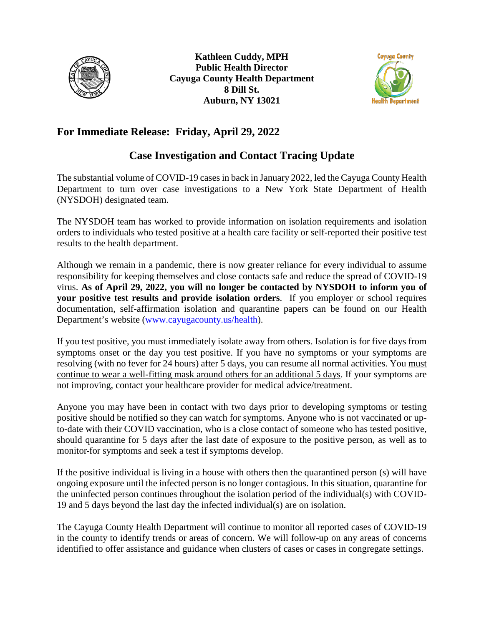

**Kathleen Cuddy, MPH Public Health Director Cayuga County Health Department 8 Dill St. Auburn, NY 13021**



## **For Immediate Release: Friday, April 29, 2022**

## **Case Investigation and Contact Tracing Update**

The substantial volume of COVID-19 cases in back in January 2022, led the Cayuga County Health Department to turn over case investigations to a New York State Department of Health (NYSDOH) designated team.

The NYSDOH team has worked to provide information on isolation requirements and isolation orders to individuals who tested positive at a health care facility or self-reported their positive test results to the health department.

Although we remain in a pandemic, there is now greater reliance for every individual to assume responsibility for keeping themselves and close contacts safe and reduce the spread of COVID-19 virus. **As of April 29, 2022, you will no longer be contacted by NYSDOH to inform you of your positive test results and provide isolation orders**. If you employer or school requires documentation, self-affirmation isolation and quarantine papers can be found on our Health Department's website [\(www.cayugacounty.us/health\)](http://www.cayugacounty.us/health).

If you test positive, you must immediately isolate away from others. Isolation is for five days from symptoms onset or the day you test positive. If you have no symptoms or your symptoms are resolving (with no fever for 24 hours) after 5 days, you can resume all normal activities. You must continue to wear a well-fitting mask around others for an additional 5 days. If your symptoms are not improving, contact your healthcare provider for medical advice/treatment.

Anyone you may have been in contact with two days prior to developing symptoms or testing positive should be notified so they can watch for symptoms. Anyone who is not vaccinated or upto-date with their COVID vaccination, who is a close contact of someone who has tested positive, should quarantine for 5 days after the last date of exposure to the positive person, as well as to monitor for symptoms and seek a test if symptoms develop.

If the positive individual is living in a house with others then the quarantined person (s) will have ongoing exposure until the infected person is no longer contagious. In this situation, quarantine for the uninfected person continues throughout the isolation period of the individual(s) with COVID-19 and 5 days beyond the last day the infected individual(s) are on isolation.

The Cayuga County Health Department will continue to monitor all reported cases of COVID-19 in the county to identify trends or areas of concern. We will follow-up on any areas of concerns identified to offer assistance and guidance when clusters of cases or cases in congregate settings.